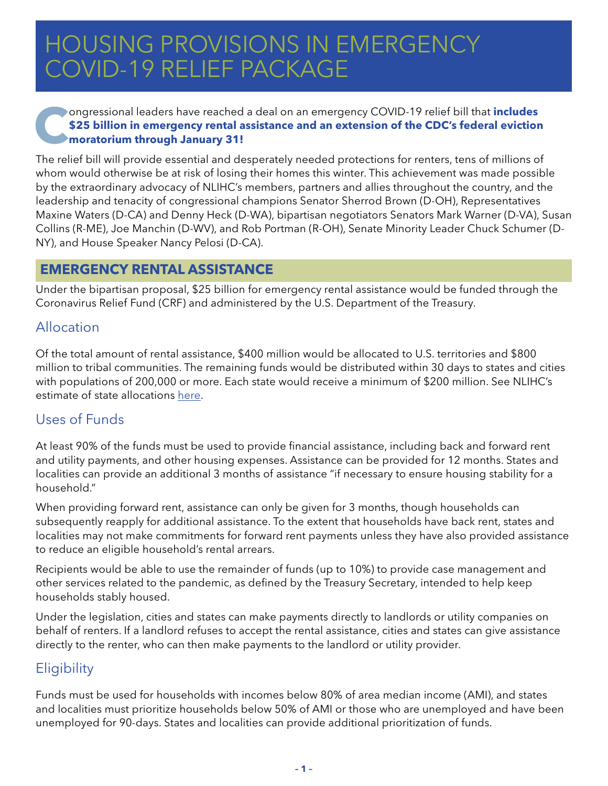# HOUSING PROVISIONS IN EMERGENCY COVID-19 RELIEF PACKAGE

# **Congressional leaders have reached a deal on an emergency COVID-19 relief bill that includes<br>
<b>EQUEL S25 billion in emergency rental assistance and an extension of the CDC's federal eviction<br>
moratorium through January 31 \$25 billion in emergency rental assistance and an extension of the CDC's federal eviction moratorium through January 31!**

The relief bill will provide essential and desperately needed protections for renters, tens of millions of whom would otherwise be at risk of losing their homes this winter. This achievement was made possible by the extraordinary advocacy of NLIHC's members, partners and allies throughout the country, and the leadership and tenacity of congressional champions Senator Sherrod Brown (D-OH), Representatives Maxine Waters (D-CA) and Denny Heck (D-WA), bipartisan negotiators Senators Mark Warner (D-VA), Susan Collins (R-ME), Joe Manchin (D-WV), and Rob Portman (R-OH), Senate Minority Leader Chuck Schumer (D-NY), and House Speaker Nancy Pelosi (D-CA).

#### **EMERGENCY RENTAL ASSISTANCE**

Under the bipartisan proposal, \$25 billion for emergency rental assistance would be funded through the Coronavirus Relief Fund (CRF) and administered by the U.S. Department of the Treasury.

# Allocation

Of the total amount of rental assistance, \$400 million would be allocated to U.S. territories and \$800 million to tribal communities. The remaining funds would be distributed within 30 days to states and cities with populations of 200,000 or more. Each state would receive a minimum of \$200 million. See NLIHC's estimate of state allocations [here](https://nlihc.org/sites/default/files/Estimated-Coronavirus-Relief-Fund-Allocations.pdf).

# Uses of Funds

At least 90% of the funds must be used to provide financial assistance, including back and forward rent and utility payments, and other housing expenses. Assistance can be provided for 12 months. States and localities can provide an additional 3 months of assistance "if necessary to ensure housing stability for a household."

When providing forward rent, assistance can only be given for 3 months, though households can subsequently reapply for additional assistance. To the extent that households have back rent, states and localities may not make commitments for forward rent payments unless they have also provided assistance to reduce an eligible household's rental arrears.

Recipients would be able to use the remainder of funds (up to 10%) to provide case management and other services related to the pandemic, as defined by the Treasury Secretary, intended to help keep households stably housed.

Under the legislation, cities and states can make payments directly to landlords or utility companies on behalf of renters. If a landlord refuses to accept the rental assistance, cities and states can give assistance directly to the renter, who can then make payments to the landlord or utility provider.

# **Eligibility**

Funds must be used for households with incomes below 80% of area median income (AMI), and states and localities must prioritize households below 50% of AMI or those who are unemployed and have been unemployed for 90-days. States and localities can provide additional prioritization of funds.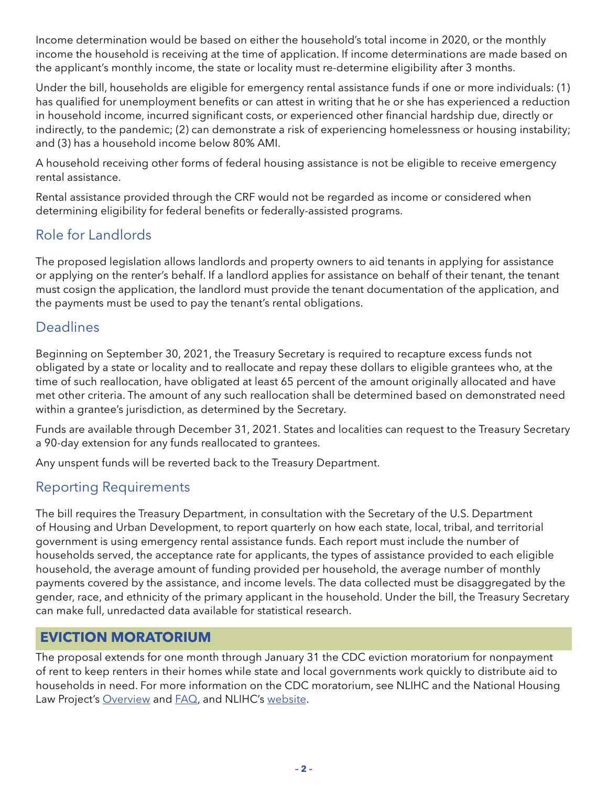Income determination would be based on either the household's total income in 2020, or the monthly income the household is receiving at the time of application. If income determinations are made based on the applicant's monthly income, the state or locality must re-determine eligibility after 3 months.

Under the bill, households are eligible for emergency rental assistance funds if one or more individuals: (1) has qualified for unemployment benefits or can attest in writing that he or she has experienced a reduction in household income, incurred significant costs, or experienced other financial hardship due, directly or indirectly, to the pandemic; (2) can demonstrate a risk of experiencing homelessness or housing instability; and (3) has a household income below 80% AMI.

A household receiving other forms of federal housing assistance is not be eligible to receive emergency rental assistance.

Rental assistance provided through the CRF would not be regarded as income or considered when determining eligibility for federal benefits or federally-assisted programs.

# Role for Landlords

The proposed legislation allows landlords and property owners to aid tenants in applying for assistance or applying on the renter's behalf. If a landlord applies for assistance on behalf of their tenant, the tenant must cosign the application, the landlord must provide the tenant documentation of the application, and the payments must be used to pay the tenant's rental obligations.

# Deadlines

Beginning on September 30, 2021, the Treasury Secretary is required to recapture excess funds not obligated by a state or locality and to reallocate and repay these dollars to eligible grantees who, at the time of such reallocation, have obligated at least 65 percent of the amount originally allocated and have met other criteria. The amount of any such reallocation shall be determined based on demonstrated need within a grantee's jurisdiction, as determined by the Secretary.

Funds are available through December 31, 2021. States and localities can request to the Treasury Secretary a 90-day extension for any funds reallocated to grantees.

Any unspent funds will be reverted back to the Treasury Department.

# Reporting Requirements

The bill requires the Treasury Department, in consultation with the Secretary of the U.S. Department of Housing and Urban Development, to report quarterly on how each state, local, tribal, and territorial government is using emergency rental assistance funds. Each report must include the number of households served, the acceptance rate for applicants, the types of assistance provided to each eligible household, the average amount of funding provided per household, the average number of monthly payments covered by the assistance, and income levels. The data collected must be disaggregated by the gender, race, and ethnicity of the primary applicant in the household. Under the bill, the Treasury Secretary can make full, unredacted data available for statistical research.

# **EVICTION MORATORIUM**

The proposal extends for one month through January 31 the CDC eviction moratorium for nonpayment of rent to keep renters in their homes while state and local governments work quickly to distribute aid to households in need. For more information on the CDC moratorium, see NLIHC and the National Housing Law Project's [Overview](https://nlihc.org/sites/default/files/Overview-of-National-Eviction-Moratorium.pdf) and [FAQ,](https://nlihc.org/sites/default/files/National-Eviction-Moratorium_FAQ-for-Renters.pdf) and NLIHC's [website.](https://nlihc.org/coronavirus-and-housing-homelessness/national-eviction-moratorium)